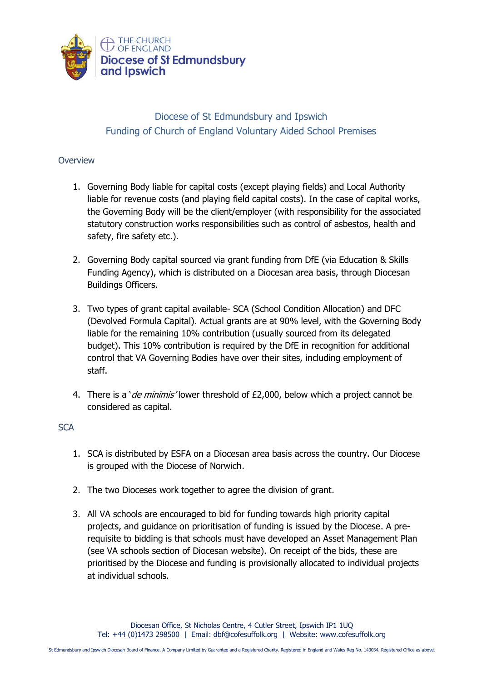

## Diocese of St Edmundsbury and Ipswich Funding of Church of England Voluntary Aided School Premises

## **Overview**

- 1. Governing Body liable for capital costs (except playing fields) and Local Authority liable for revenue costs (and playing field capital costs). In the case of capital works, the Governing Body will be the client/employer (with responsibility for the associated statutory construction works responsibilities such as control of asbestos, health and safety, fire safety etc.).
- 2. Governing Body capital sourced via grant funding from DfE (via Education & Skills Funding Agency), which is distributed on a Diocesan area basis, through Diocesan Buildings Officers.
- 3. Two types of grant capital available- SCA (School Condition Allocation) and DFC (Devolved Formula Capital). Actual grants are at 90% level, with the Governing Body liable for the remaining 10% contribution (usually sourced from its delegated budget). This 10% contribution is required by the DfE in recognition for additional control that VA Governing Bodies have over their sites, including employment of staff.
- 4. There is a '*de minimis'* lower threshold of £2,000, below which a project cannot be considered as capital.

## **SCA**

- 1. SCA is distributed by ESFA on a Diocesan area basis across the country. Our Diocese is grouped with the Diocese of Norwich.
- 2. The two Dioceses work together to agree the division of grant.
- 3. All VA schools are encouraged to bid for funding towards high priority capital projects, and guidance on prioritisation of funding is issued by the Diocese. A prerequisite to bidding is that schools must have developed an Asset Management Plan (see VA schools section of Diocesan website). On receipt of the bids, these are prioritised by the Diocese and funding is provisionally allocated to individual projects at individual schools.